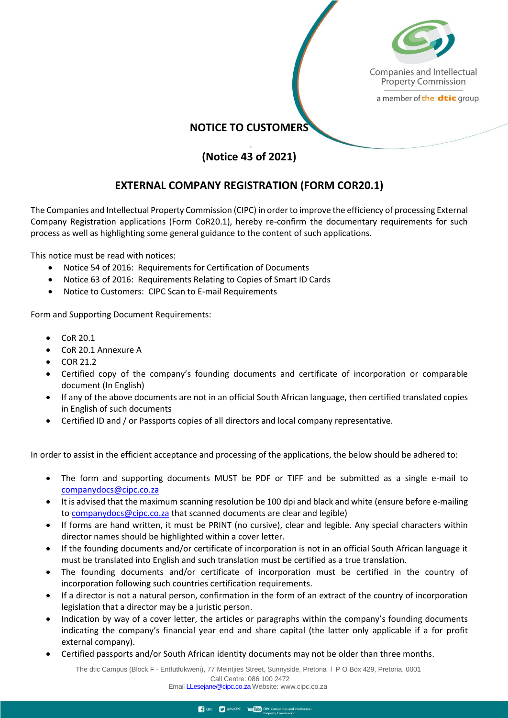

Companies and Intellectual **Property Commission** 

a member of the dtic group

## **NOTICE TO CUSTOMERS**

## **(Notice 43 of 2021)**

## **EXTERNAL COMPANY REGISTRATION (FORM COR20.1)**

The Companies and Intellectual Property Commission (CIPC) in order to improve the efficiency of processing External Company Registration applications (Form CoR20.1), hereby re-confirm the documentary requirements for such process as well as highlighting some general guidance to the content of such applications.

This notice must be read with notices:

- Notice 54 of 2016: Requirements for Certification of Documents
- Notice 63 of 2016: Requirements Relating to Copies of Smart ID Cards
- Notice to Customers: CIPC Scan to E-mail Requirements

Form and Supporting Document Requirements:

- CoR 20.1
- CoR 20.1 Annexure A
- $\bullet$  COR 21.2
- Certified copy of the company's founding documents and certificate of incorporation or comparable document (In English)
- If any of the above documents are not in an official South African language, then certified translated copies in English of such documents
- Certified ID and / or Passports copies of all directors and local company representative.

In order to assist in the efficient acceptance and processing of the applications, the below should be adhered to:

- The form and supporting documents MUST be PDF or TIFF and be submitted as a single e-mail to [companydocs@cipc.co.za](mailto:companydocs@cipc.co.za)
- It is advised that the maximum scanning resolution be 100 dpi and black and white (ensure before e-mailing to [companydocs@cipc.co.za](mailto:companydocs@cipc.co.za) that scanned documents are clear and legible)
- If forms are hand written, it must be PRINT (no cursive), clear and legible. Any special characters within director names should be highlighted within a cover letter.
- If the founding documents and/or certificate of incorporation is not in an official South African language it must be translated into English and such translation must be certified as a true translation.
- The founding documents and/or certificate of incorporation must be certified in the country of incorporation following such countries certification requirements.
- If a director is not a natural person, confirmation in the form of an extract of the country of incorporation legislation that a director may be a juristic person.
- Indication by way of a cover letter, the articles or paragraphs within the company's founding documents indicating the company's financial year end and share capital (the latter only applicable if a for profit external company).
- Certified passports and/or South African identity documents may not be older than three months.

The dtic Campus (Block F - Entfutfukweni), 77 Meintjies Street, Sunnyside, Pretoria l P O Box 429, Pretoria, 0001 Call Centre: 086 100 2472 Email [LLesejane@cipc.co.za](mailto:LLesejane@cipc.co.za) Webs[ite: www.cipc.co.za](http://www.cipc.co.za/)